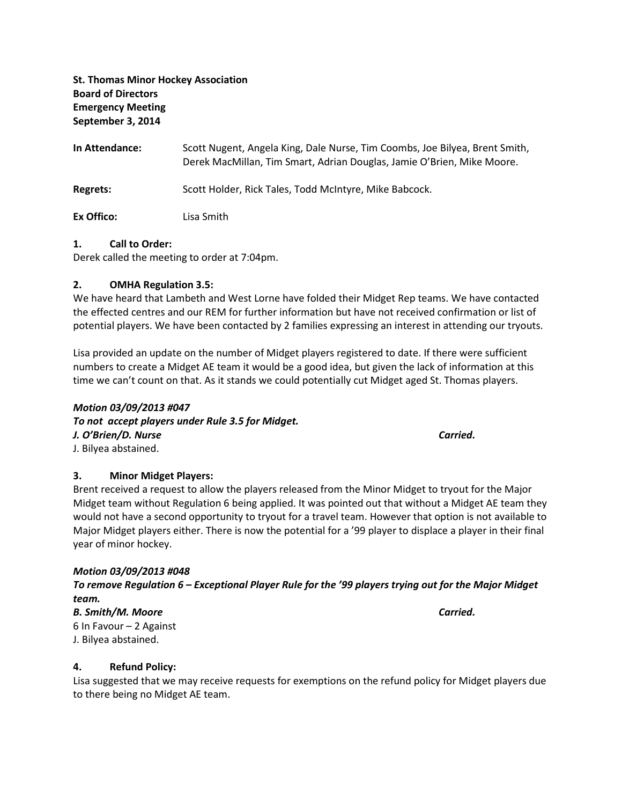St. Thomas Minor Hockey Association Board of Directors Emergency Meeting September 3, 2014

In Attendance: Scott Nugent, Angela King, Dale Nurse, Tim Coombs, Joe Bilyea, Brent Smith, Derek MacMillan, Tim Smart, Adrian Douglas, Jamie O'Brien, Mike Moore. Regrets: Scott Holder, Rick Tales, Todd McIntyre, Mike Babcock. Ex Offico: Lisa Smith

#### 1. Call to Order:

Derek called the meeting to order at 7:04pm.

#### 2. OMHA Regulation 3.5:

We have heard that Lambeth and West Lorne have folded their Midget Rep teams. We have contacted the effected centres and our REM for further information but have not received confirmation or list of potential players. We have been contacted by 2 families expressing an interest in attending our tryouts.

Lisa provided an update on the number of Midget players registered to date. If there were sufficient numbers to create a Midget AE team it would be a good idea, but given the lack of information at this time we can't count on that. As it stands we could potentially cut Midget aged St. Thomas players.

# Motion 03/09/2013 #047 To not accept players under Rule 3.5 for Midget. J. O'Brien/D. Nurse Carried. J. Bilyea abstained.

3. Minor Midget Players:

Brent received a request to allow the players released from the Minor Midget to tryout for the Major Midget team without Regulation 6 being applied. It was pointed out that without a Midget AE team they would not have a second opportunity to tryout for a travel team. However that option is not available to Major Midget players either. There is now the potential for a '99 player to displace a player in their final year of minor hockey.

#### Motion 03/09/2013 #048

To remove Regulation 6 – Exceptional Player Rule for the '99 players trying out for the Major Midget team.

B. Smith/M. Moore Carried. 6 In Favour – 2 Against J. Bilyea abstained.

#### 4. Refund Policy:

Lisa suggested that we may receive requests for exemptions on the refund policy for Midget players due to there being no Midget AE team.